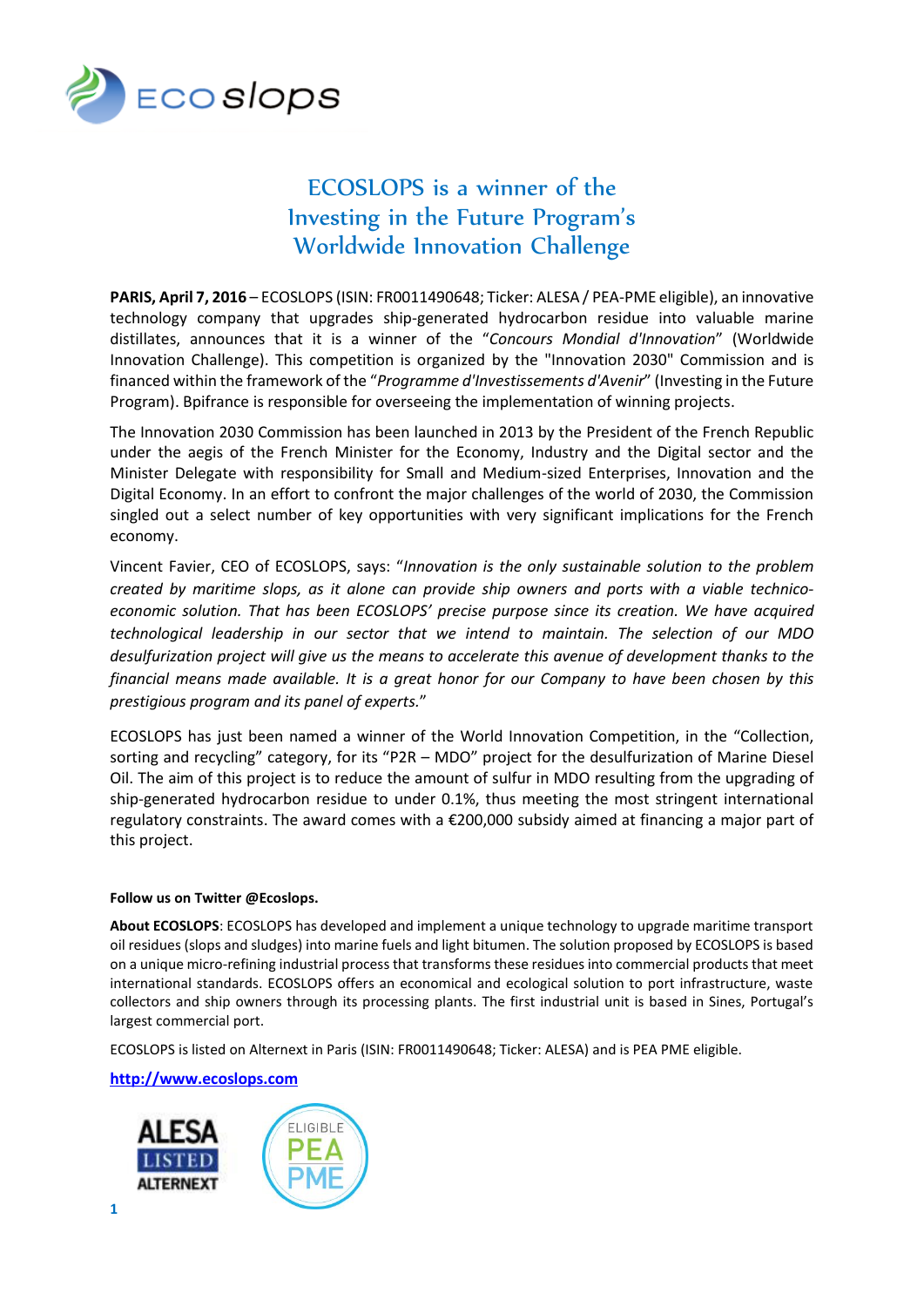

## ECOSLOPS is a winner of the Investing in the Future Program's Worldwide Innovation Challenge

**PARIS, April 7, 2016** – ECOSLOPS (ISIN: FR0011490648; Ticker: ALESA / PEA-PME eligible), an innovative technology company that upgrades ship-generated hydrocarbon residue into valuable marine distillates, announces that it is a winner of the "*Concours Mondial d'Innovation*" (Worldwide Innovation Challenge). This competition is organized by the "Innovation 2030" Commission and is financed within the framework of the "*Programme d'Investissements d'Avenir*" (Investing in the Future Program). Bpifrance is responsible for overseeing the implementation of winning projects.

The Innovation 2030 Commission has been launched in 2013 by the President of the French Republic under the aegis of the French Minister for the Economy, Industry and the Digital sector and the Minister Delegate with responsibility for Small and Medium-sized Enterprises, Innovation and the Digital Economy. In an effort to confront the major challenges of the world of 2030, the Commission singled out a select number of key opportunities with very significant implications for the French economy.

Vincent Favier, CEO of ECOSLOPS, says: "*Innovation is the only sustainable solution to the problem created by maritime slops, as it alone can provide ship owners and ports with a viable technicoeconomic solution. That has been ECOSLOPS' precise purpose since its creation. We have acquired technological leadership in our sector that we intend to maintain. The selection of our MDO desulfurization project will give us the means to accelerate this avenue of development thanks to the financial means made available. It is a great honor for our Company to have been chosen by this prestigious program and its panel of experts.*"

ECOSLOPS has just been named a winner of the World Innovation Competition, in the "Collection, sorting and recycling" category, for its "P2R – MDO" project for the desulfurization of Marine Diesel Oil. The aim of this project is to reduce the amount of sulfur in MDO resulting from the upgrading of ship-generated hydrocarbon residue to under 0.1%, thus meeting the most stringent international regulatory constraints. The award comes with a €200,000 subsidy aimed at financing a major part of this project.

## **Follow us on Twitter @Ecoslops.**

**About ECOSLOPS**: ECOSLOPS has developed and implement a unique technology to upgrade maritime transport oil residues (slops and sludges) into marine fuels and light bitumen. The solution proposed by ECOSLOPS is based on a unique micro-refining industrial process that transforms these residues into commercial products that meet international standards. ECOSLOPS offers an economical and ecological solution to port infrastructure, waste collectors and ship owners through its processing plants. The first industrial unit is based in Sines, Portugal's largest commercial port.

ECOSLOPS is listed on Alternext in Paris (ISIN: FR0011490648; Ticker: ALESA) and is PEA PME eligible.

**[http://www.ecoslops.com](http://www.ecoslops.com/)**